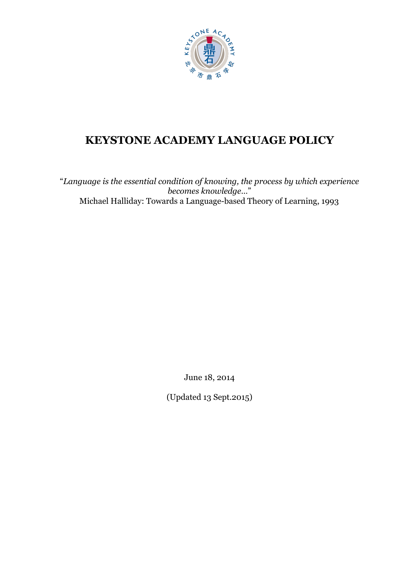

# **KEYSTONE ACADEMY LANGUAGE POLICY**

"*Language is the essential condition of knowing, the process by which experience becomes knowledge…*" Michael Halliday: Towards a Language-based Theory of Learning, 1993

June 18, 2014

(Updated 13 Sept.2015)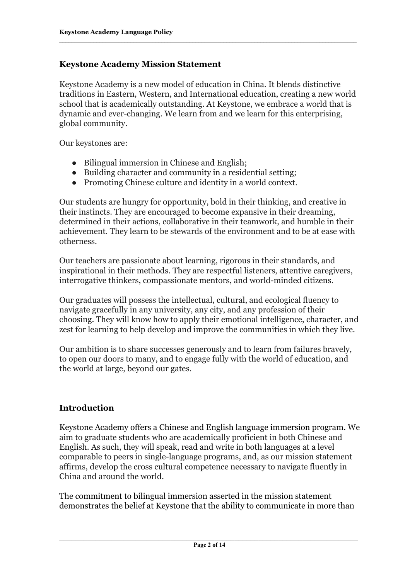### **Keystone Academy Mission Statement**

Keystone Academy is a new model of education in China. It blends distinctive traditions in Eastern, Western, and International education, creating a new world school that is academically outstanding. At Keystone, we embrace a world that is dynamic and ever-changing. We learn from and we learn for this enterprising, global community.

Our keystones are:

- Bilingual immersion in Chinese and English;
- Building character and community in a residential setting;
- Promoting Chinese culture and identity in a world context.

Our students are hungry for opportunity, bold in their thinking, and creative in their instincts. They are encouraged to become expansive in their dreaming, determined in their actions, collaborative in their teamwork, and humble in their achievement. They learn to be stewards of the environment and to be at ease with otherness.

Our teachers are passionate about learning, rigorous in their standards, and inspirational in their methods. They are respectful listeners, attentive caregivers, interrogative thinkers, compassionate mentors, and world-minded citizens.

Our graduates will possess the intellectual, cultural, and ecological fluency to navigate gracefully in any university, any city, and any profession of their choosing. They will know how to apply their emotional intelligence, character, and zest for learning to help develop and improve the communities in which they live.

Our ambition is to share successes generously and to learn from failures bravely, to open our doors to many, and to engage fully with the world of education, and the world at large, beyond our gates.

# **Introduction**

Keystone Academy offers a Chinese and English language immersion program. We aim to graduate students who are academically proficient in both Chinese and English. As such, they will speak, read and write in both languages at a level comparable to peers in single-language programs, and, as our mission statement affirms, develop the cross cultural competence necessary to navigate fluently in China and around the world.

The commitment to bilingual immersion asserted in the mission statement demonstrates the belief at Keystone that the ability to communicate in more than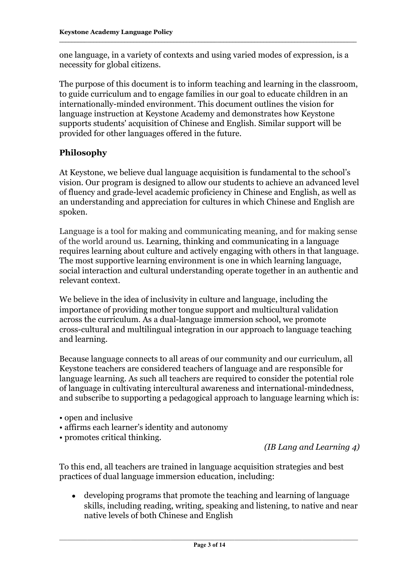one language, in a variety of contexts and using varied modes of expression, is a necessity for global citizens.

The purpose of this document is to inform teaching and learning in the classroom, to guide curriculum and to engage families in our goal to educate children in an internationally-minded environment. This document outlines the vision for language instruction at Keystone Academy and demonstrates how Keystone supports students' acquisition of Chinese and English. Similar support will be provided for other languages offered in the future.

# **Philosophy**

At Keystone, we believe dual language acquisition is fundamental to the school's vision. Our program is designed to allow our students to achieve an advanced level of fluency and grade-level academic proficiency in Chinese and English, as well as an understanding and appreciation for cultures in which Chinese and English are spoken.

Language is a tool for making and communicating meaning, and for making sense of the world around us. Learning, thinking and communicating in a language requires learning about culture and actively engaging with others in that language. The most supportive learning environment is one in which learning language, social interaction and cultural understanding operate together in an authentic and relevant context.

We believe in the idea of inclusivity in culture and language, including the importance of providing mother tongue support and multicultural validation across the curriculum. As a dual-language immersion school, we promote cross-cultural and multilingual integration in our approach to language teaching and learning.

Because language connects to all areas of our community and our curriculum, all Keystone teachers are considered teachers of language and are responsible for language learning. As such all teachers are required to consider the potential role of language in cultivating intercultural awareness and international-mindedness, and subscribe to supporting a pedagogical approach to language learning which is:

- open and inclusive
- affirms each learner's identity and autonomy
- promotes critical thinking.

*(IB Lang and Learning 4)*

To this end, all teachers are trained in language acquisition strategies and best practices of dual language immersion education, including:

• developing programs that promote the teaching and learning of language skills, including reading, writing, speaking and listening, to native and near native levels of both Chinese and English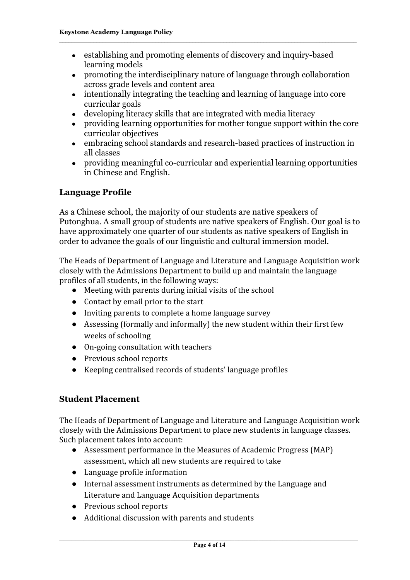- establishing and promoting elements of discovery and inquiry-based learning models
- promoting the interdisciplinary nature of language through collaboration across grade levels and content area
- intentionally integrating the teaching and learning of language into core curricular goals
- developing literacy skills that are integrated with media literacy
- providing learning opportunities for mother tongue support within the core curricular objectives
- embracing school standards and research-based practices of instruction in all classes
- providing meaningful co-curricular and experiential learning opportunities in Chinese and English.

## **Language Profile**

As a Chinese school, the majority of our students are native speakers of Putonghua. A small group of students are native speakers of English. Our goal is to have approximately one quarter of our students as native speakers of English in order to advance the goals of our linguistic and cultural immersion model.

The Heads of Department of Language and Literature and Language Acquisition work closely with the Admissions Department to build up and maintain the language profiles of all students, in the following ways:

- Meeting with parents during initial visits of the school
- Contact by email prior to the start
- Inviting parents to complete a home language survey
- Assessing (formally and informally) the new student within their first few weeks of schooling
- $\bullet$  On-going consultation with teachers
- Previous school reports
- Keeping centralised records of students' language profiles

#### **Student Placement**

The Heads of Department of Language and Literature and Language Acquisition work closely with the Admissions Department to place new students in language classes. Such placement takes into account:

- Assessment performance in the Measures of Academic Progress (MAP) assessment, which all new students are required to take
- Language profile information
- Internal assessment instruments as determined by the Language and Literature and Language Acquisition departments
- Previous school reports
- Additional discussion with parents and students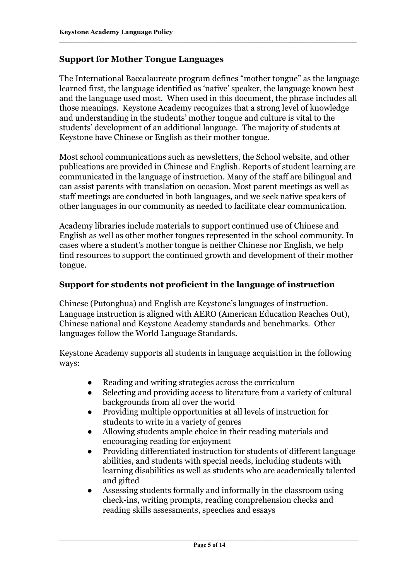## **Support for Mother Tongue Languages**

The International Baccalaureate program defines "mother tongue" as the language learned first, the language identified as 'native' speaker, the language known best and the language used most. When used in this document, the phrase includes all those meanings. Keystone Academy recognizes that a strong level of knowledge and understanding in the students' mother tongue and culture is vital to the students' development of an additional language. The majority of students at Keystone have Chinese or English as their mother tongue.

Most school communications such as newsletters, the School website, and other publications are provided in Chinese and English. Reports of student learning are communicated in the language of instruction. Many of the staff are bilingual and can assist parents with translation on occasion. Most parent meetings as well as staff meetings are conducted in both languages, and we seek native speakers of other languages in our community as needed to facilitate clear communication.

Academy libraries include materials to support continued use of Chinese and English as well as other mother tongues represented in the school community. In cases where a student's mother tongue is neither Chinese nor English, we help find resources to support the continued growth and development of their mother tongue.

## **Support for students not proficient in the language of instruction**

Chinese (Putonghua) and English are Keystone's languages of instruction. Language instruction is aligned with AERO (American Education Reaches Out), Chinese national and Keystone Academy standards and benchmarks. Other languages follow the World Language Standards.

Keystone Academy supports all students in language acquisition in the following ways:

- Reading and writing strategies across the curriculum
- Selecting and providing access to literature from a variety of cultural backgrounds from all over the world
- Providing multiple opportunities at all levels of instruction for students to write in a variety of genres
- Allowing students ample choice in their reading materials and encouraging reading for enjoyment
- Providing differentiated instruction for students of different language abilities, and students with special needs, including students with learning disabilities as well as students who are academically talented and gifted
- Assessing students formally and informally in the classroom using check-ins, writing prompts, reading comprehension checks and reading skills assessments, speeches and essays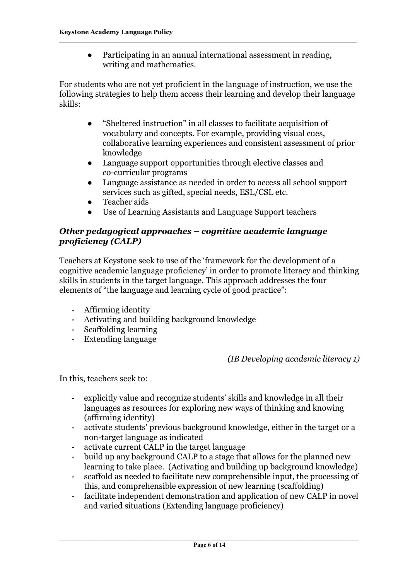● Participating in an annual international assessment in reading, writing and mathematics.

For students who are not yet proficient in the language of instruction, we use the following strategies to help them access their learning and develop their language skills:

- "Sheltered instruction" in all classes to facilitate acquisition of vocabulary and concepts. For example, providing visual cues, collaborative learning experiences and consistent assessment of prior knowledge
- Language support opportunities through elective classes and co-curricular programs
- Language assistance as needed in order to access all school support services such as gifted, special needs, ESL/CSL etc.
- Teacher aids
- Use of Learning Assistants and Language Support teachers

# *Other pedagogical approaches – cognitive academic language proficiency (CALP)*

Teachers at Keystone seek to use of the 'framework for the development of a cognitive academic language proficiency' in order to promote literacy and thinking skills in students in the target language. This approach addresses the four elements of "the language and learning cycle of good practice":

- Affirming identity
- Activating and building background knowledge
- Scaffolding learning
- Extending language

# *(IB Developing academic literacy 1)*

In this, teachers seek to:

- explicitly value and recognize students' skills and knowledge in all their languages as resources for exploring new ways of thinking and knowing (affirming identity)
- activate students' previous background knowledge, either in the target or a non-target language as indicated
- activate current CALP in the target language
- build up any background CALP to a stage that allows for the planned new learning to take place. (Activating and building up background knowledge)
- scaffold as needed to facilitate new comprehensible input, the processing of this, and comprehensible expression of new learning (scaffolding)
- facilitate independent demonstration and application of new CALP in novel and varied situations (Extending language proficiency)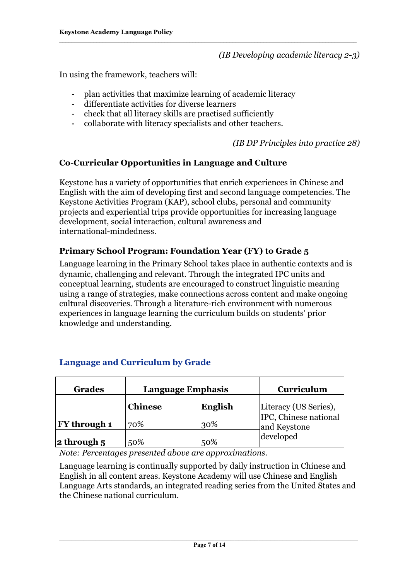#### *(IB Developing academic literacy 23)*

In using the framework, teachers will:

- plan activities that maximize learning of academic literacy
- differentiate activities for diverse learners
- check that all literacy skills are practised sufficiently
- collaborate with literacy specialists and other teachers.

*(IB DP Principles into practice 28)*

# **CoCurricular Opportunities in Language and Culture**

Keystone has a variety of opportunities that enrich experiences in Chinese and English with the aim of developing first and second language competencies. The Keystone Activities Program (KAP), school clubs, personal and community projects and experiential trips provide opportunities for increasing language development, social interaction, cultural awareness and international-mindedness.

# **Primary School Program: Foundation Year (FY) to Grade 5**

Language learning in the Primary School takes place in authentic contexts and is dynamic, challenging and relevant. Through the integrated IPC units and conceptual learning, students are encouraged to construct linguistic meaning using a range of strategies, make connections across content and make ongoing cultural discoveries. Through a literature-rich environment with numerous experiences in language learning the curriculum builds on students' prior knowledge and understanding.

| <b>Grades</b>       | <b>Language Emphasis</b> |         | Curriculum                            |
|---------------------|--------------------------|---------|---------------------------------------|
|                     | <b>Chinese</b>           | English | Literacy (US Series),                 |
| <b>FY</b> through 1 | 70%                      | 30%     | IPC, Chinese national<br>and Keystone |
| $ $ 2 through 5     | 50%                      | 50%     | developed                             |

#### **Language and Curriculum by Grade**

*Note: Percentages presented above are approximations.*

Language learning is continually supported by daily instruction in Chinese and English in all content areas. Keystone Academy will use Chinese and English Language Arts standards, an integrated reading series from the United States and the Chinese national curriculum.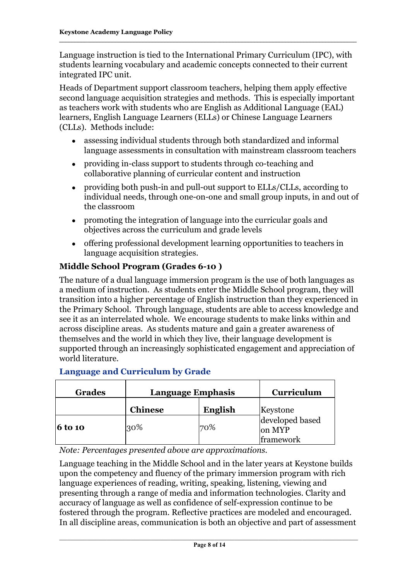Language instruction is tied to the International Primary Curriculum (IPC), with students learning vocabulary and academic concepts connected to their current integrated IPC unit.

Heads of Department support classroom teachers, helping them apply effective second language acquisition strategies and methods. This is especially important as teachers work with students who are English as Additional Language (EAL) learners, English Language Learners (ELLs) or Chinese Language Learners (CLLs). Methods include:

- assessing individual students through both standardized and informal language assessments in consultation with mainstream classroom teachers
- providing in-class support to students through co-teaching and collaborative planning of curricular content and instruction
- providing both push-in and pull-out support to ELLs/CLLs, according to individual needs, through one-on-one and small group inputs, in and out of the classroom
- promoting the integration of language into the curricular goals and objectives across the curriculum and grade levels
- offering professional development learning opportunities to teachers in language acquisition strategies.

# **Middle School Program (Grades 610 )**

The nature of a dual language immersion program is the use of both languages as a medium of instruction. As students enter the Middle School program, they will transition into a higher percentage of English instruction than they experienced in the Primary School. Through language, students are able to access knowledge and see it as an interrelated whole. We encourage students to make links within and across discipline areas. As students mature and gain a greater awareness of themselves and the world in which they live, their language development is supported through an increasingly sophisticated engagement and appreciation of world literature.

| <b>Grades</b>  | <b>Language Emphasis</b> |         | Curriculum                             |
|----------------|--------------------------|---------|----------------------------------------|
|                | <b>Chinese</b>           | English | Keystone                               |
| <b>6 to 10</b> | 30%                      | 70%     | developed based<br>on MYP<br>framework |

#### **Language and Curriculum by Grade**

*Note: Percentages presented above are approximations.*

Language teaching in the Middle School and in the later years at Keystone builds upon the competency and fluency of the primary immersion program with rich language experiences of reading, writing, speaking, listening, viewing and presenting through a range of media and information technologies. Clarity and accuracy of language as well as confidence of self-expression continue to be fostered through the program. Reflective practices are modeled and encouraged. In all discipline areas, communication is both an objective and part of assessment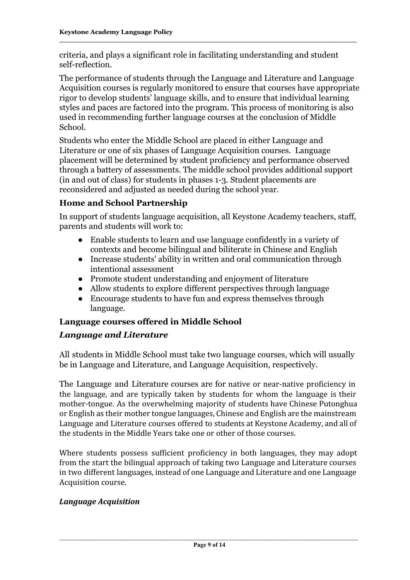criteria, and plays a significant role in facilitating understanding and student self-reflection.

The performance of students through the Language and Literature and Language Acquisition courses is regularly monitored to ensure that courses have appropriate rigor to develop students' language skills, and to ensure that individual learning styles and paces are factored into the program. This process of monitoring is also used in recommending further language courses at the conclusion of Middle School.

Students who enter the Middle School are placed in either Language and Literature or one of six phases of Language Acquisition courses. Language placement will be determined by student proficiency and performance observed through a battery of assessments. The middle school provides additional support (in and out of class) for students in phases 1-3. Student placements are reconsidered and adjusted as needed during the school year.

# **Home and School Partnership**

In support of students language acquisition, all Keystone Academy teachers, staff, parents and students will work to:

- Enable students to learn and use language confidently in a variety of contexts and become bilingual and biliterate in Chinese and English
- Increase students' ability in written and oral communication through intentional assessment
- Promote student understanding and enjoyment of literature
- Allow students to explore different perspectives through language
- Encourage students to have fun and express themselves through language.

# **Language courses offered in Middle School**

# *Language and Literature*

All students in Middle School must take two language courses, which will usually be in Language and Literature, and Language Acquisition, respectively.

The Language and Literature courses are for native or near-native proficiency in the language, and are typically taken by students for whom the language is their mother-tongue. As the overwhelming majority of students have Chinese Putonghua or English as their mother tongue languages, Chinese and English are the mainstream Language and Literature courses offered to students at Keystone Academy, and all of the students in the Middle Years take one or other of those courses.

Where students possess sufficient proficiency in both languages, they may adopt from the start the bilingual approach of taking two Language and Literature courses in two different languages, instead of one Language and Literature and one Language Acquisition course.

# *Language Acquisition*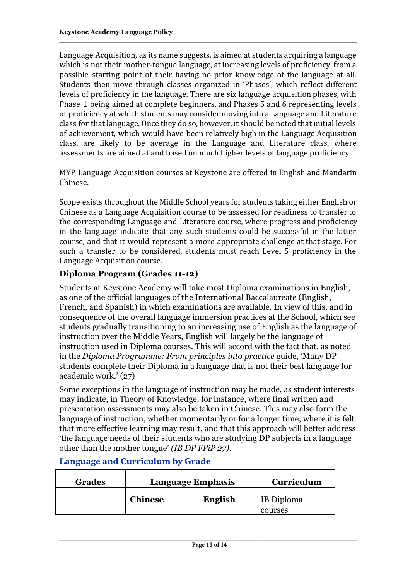Language Acquisition, as its name suggests, is aimed at students acquiring a language which is not their mother-tongue language, at increasing levels of proficiency, from a possible starting point of their having no prior knowledge of the language at all. Students then move through classes organized in 'Phases', which reflect different levels of proficiency in the language. There are six language acquisition phases, with Phase 1 being aimed at complete beginners, and Phases 5 and 6 representing levels of proficiency at which students may consider moving into a Language and Literature class for that language. Once they do so, however, it should be noted that initial levels of achievement, which would have been relatively high in the Language Acquisition class, are likely to be average in the Language and Literature class, where assessments are aimed at and based on much higher levels of language proficiency.

MYP Language Acquisition courses at Keystone are offered in English and Mandarin Chinese.

Scope exists throughout the Middle School years for students taking either English or Chinese as a Language Acquisition course to be assessed for readiness to transfer to the corresponding Language and Literature course, where progress and proficiency in the language indicate that any such students could be successful in the latter course, and that it would represent a more appropriate challenge at that stage. For such a transfer to be considered, students must reach Level 5 proficiency in the Language Acquisition course.

# **Diploma Program (Grades 11-12)**

Students at Keystone Academy will take most Diploma examinations in English, as one of the official languages of the International Baccalaureate (English, French, and Spanish) in which examinations are available. In view of this, and in consequence of the overall language immersion practices at the School, which see students gradually transitioning to an increasing use of English as the language of instruction over the Middle Years, English will largely be the language of instruction used in Diploma courses. This will accord with the fact that, as noted in the *Diploma Programme: From principles into practice* guide, 'Many DP students complete their Diploma in a language that is not their best language for academic work.' (27)

Some exceptions in the language of instruction may be made, as student interests may indicate, in Theory of Knowledge, for instance, where final written and presentation assessments may also be taken in Chinese. This may also form the language of instruction, whether momentarily or for a longer time, where it is felt that more effective learning may result, and that this approach will better address 'the language needs of their students who are studying DP subjects in a language other than the mother tongue' *(IB DP FPiP 27).*

| <b>Grades</b> | <b>Language Emphasis</b> |         | Curriculum                   |
|---------------|--------------------------|---------|------------------------------|
|               | <b>Chinese</b>           | English | <b>IB</b> Diploma<br>courses |

#### **Language and Curriculum by Grade**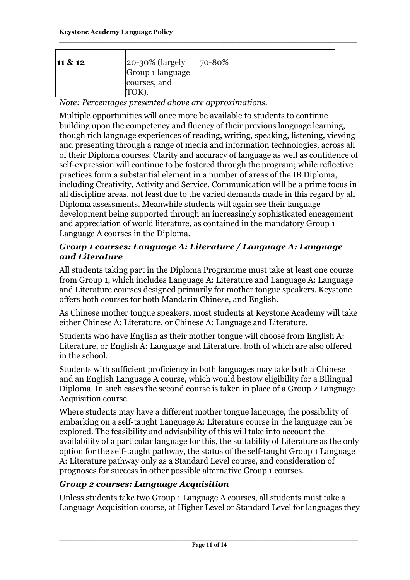| $20-30\%$ (largely<br>11 & 12<br>Group 1 language<br>courses, and | 70-80% |
|-------------------------------------------------------------------|--------|
|-------------------------------------------------------------------|--------|

*Note: Percentages presented above are approximations.*

Multiple opportunities will once more be available to students to continue building upon the competency and fluency of their previous language learning, though rich language experiences of reading, writing, speaking, listening, viewing and presenting through a range of media and information technologies, across all of their Diploma courses. Clarity and accuracy of language as well as confidence of self-expression will continue to be fostered through the program; while reflective practices form a substantial element in a number of areas of the IB Diploma, including Creativity, Activity and Service. Communication will be a prime focus in all discipline areas, not least due to the varied demands made in this regard by all Diploma assessments. Meanwhile students will again see their language development being supported through an increasingly sophisticated engagement and appreciation of world literature, as contained in the mandatory Group 1 Language A courses in the Diploma.

# *Group 1 courses: Language A: Literature / Language A: Language and Literature*

All students taking part in the Diploma Programme must take at least one course from Group 1, which includes Language A: Literature and Language A: Language and Literature courses designed primarily for mother tongue speakers. Keystone offers both courses for both Mandarin Chinese, and English.

As Chinese mother tongue speakers, most students at Keystone Academy will take either Chinese A: Literature, or Chinese A: Language and Literature.

Students who have English as their mother tongue will choose from English A: Literature, or English A: Language and Literature, both of which are also offered in the school.

Students with sufficient proficiency in both languages may take both a Chinese and an English Language A course, which would bestow eligibility for a Bilingual Diploma. In such cases the second course is taken in place of a Group 2 Language Acquisition course.

Where students may have a different mother tongue language, the possibility of embarking on a self-taught Language A: Literature course in the language can be explored. The feasibility and advisability of this will take into account the availability of a particular language for this, the suitability of Literature as the only option for the self-taught pathway, the status of the self-taught Group 1 Language A: Literature pathway only as a Standard Level course, and consideration of prognoses for success in other possible alternative Group 1 courses.

# *Group 2 courses: Language Acquisition*

Unless students take two Group 1 Language A courses, all students must take a Language Acquisition course, at Higher Level or Standard Level for languages they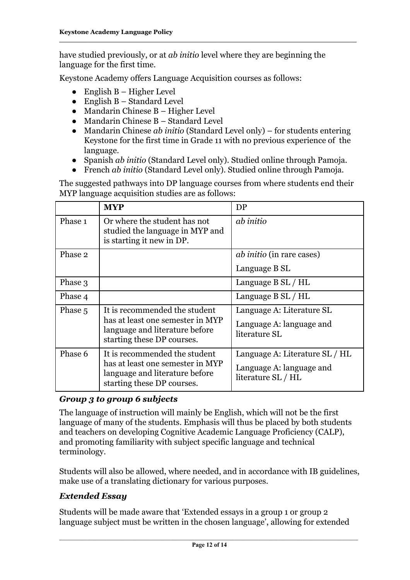have studied previously, or at *ab initio* level where they are beginning the language for the first time.

Keystone Academy offers Language Acquisition courses as follows:

- English  $B H$ igher Level
- $\bullet$  English B Standard Level
- Mandarin Chinese B Higher Level
- Mandarin Chinese B Standard Level
- Mandarin Chinese *ab initio* (Standard Level only) for students entering Keystone for the first time in Grade 11 with no previous experience of the language.
- Spanish *ab initio* (Standard Level only). Studied online through Pamoja.
- French *ab initio* (Standard Level only). Studied online through Pamoja.

The suggested pathways into DP language courses from where students end their MYP language acquisition studies are as follows:

|         | <b>MYP</b>                                                                                                                        | DP                                                                               |
|---------|-----------------------------------------------------------------------------------------------------------------------------------|----------------------------------------------------------------------------------|
| Phase 1 | Or where the student has not<br>studied the language in MYP and<br>is starting it new in DP.                                      | ab initio                                                                        |
| Phase 2 |                                                                                                                                   | <i>ab initio</i> (in rare cases)                                                 |
|         |                                                                                                                                   | Language B SL                                                                    |
| Phase 3 |                                                                                                                                   | Language B SL / HL                                                               |
| Phase 4 |                                                                                                                                   | Language B SL / HL                                                               |
| Phase 5 | It is recommended the student<br>has at least one semester in MYP<br>language and literature before<br>starting these DP courses. | Language A: Literature SL<br>Language A: language and<br>literature SL           |
| Phase 6 | It is recommended the student<br>has at least one semester in MYP<br>language and literature before<br>starting these DP courses. | Language A: Literature SL / HL<br>Language A: language and<br>literature SL / HL |

# *Group 3 to group 6 subjects*

The language of instruction will mainly be English, which will not be the first language of many of the students. Emphasis will thus be placed by both students and teachers on developing Cognitive Academic Language Proficiency (CALP), and promoting familiarity with subject specific language and technical terminology.

Students will also be allowed, where needed, and in accordance with IB guidelines, make use of a translating dictionary for various purposes.

# *Extended Essay*

Students will be made aware that 'Extended essays in a group 1 or group 2 language subject must be written in the chosen language', allowing for extended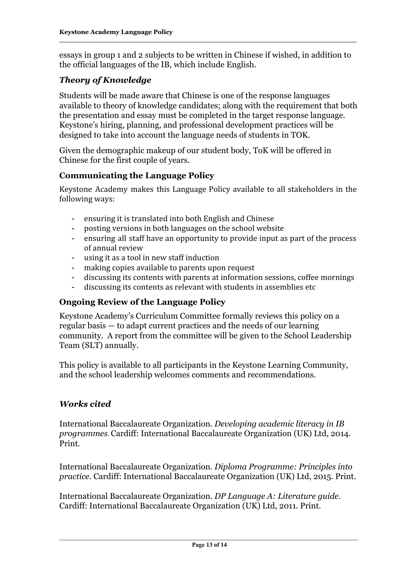essays in group 1 and 2 subjects to be written in Chinese if wished, in addition to the official languages of the IB, which include English.

# *Theory of Knowledge*

Students will be made aware that Chinese is one of the response languages available to theory of knowledge candidates; along with the requirement that both the presentation and essay must be completed in the target response language. Keystone's hiring, planning, and professional development practices will be designed to take into account the language needs of students in TOK.

Given the demographic makeup of our student body, ToK will be offered in Chinese for the first couple of years.

# **Communicating the Language Policy**

Keystone Academy makes this Language Policy available to all stakeholders in the following ways:

- ensuring it is translated into both English and Chinese
- posting versions in both languages on the school website
- ensuring all staff have an opportunity to provide input as part of the process of annual review
- using it as a tool in new staff induction
- making copies available to parents upon request
- discussing its contents with parents at information sessions, coffee mornings
- discussing its contents as relevant with students in assemblies etc

# **Ongoing Review of the Language Policy**

Keystone Academy's Curriculum Committee formally reviews this policy on a regular basis — to adapt current practices and the needs of our learning community. A report from the committee will be given to the School Leadership Team (SLT) annually.

This policy is available to all participants in the Keystone Learning Community, and the school leadership welcomes comments and recommendations.

# *Works cited*

International Baccalaureate Organization. *Developing academic literacy in IB programmes*. Cardiff: International Baccalaureate Organization (UK) Ltd, 2014. Print.

International Baccalaureate Organization. *Diploma Programme: Principles into practice.* Cardiff: International Baccalaureate Organization (UK) Ltd, 2015. Print.

International Baccalaureate Organization. *DP Language A: Literature guide.* Cardiff: International Baccalaureate Organization (UK) Ltd, 2011. Print.